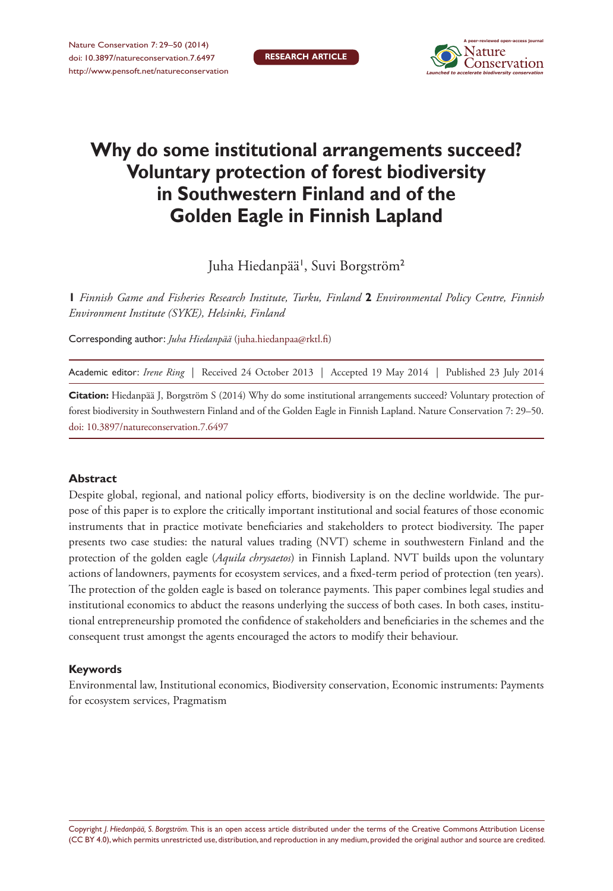**RESEARCH ARTICLE**



# **Why do some institutional arrangements succeed? Voluntary protection of forest biodiversity in Southwestern Finland and of the Golden Eagle in Finnish Lapland**

Juha Hiedanpää<sup>t</sup>, Suvi Borgström<sup>2</sup>

**1** *Finnish Game and Fisheries Research Institute, Turku, Finland* **2** *Environmental Policy Centre, Finnish Environment Institute (SYKE), Helsinki, Finland*

Corresponding author: *Juha Hiedanpää* [\(juha.hiedanpaa@rktl.fi\)](mailto:juha.hiedanpaa@rktl.fi)

Academic editor: *Irene Ring* | Received 24 October 2013 | Accepted 19 May 2014 | Published 23 July 2014

**Citation:** Hiedanpää J, Borgström S (2014) Why do some institutional arrangements succeed? Voluntary protection of forest biodiversity in Southwestern Finland and of the Golden Eagle in Finnish Lapland. Nature Conservation 7: 29–50. [doi: 10.3897/natureconservation.7.6497](http://dx.doi.org/10.3897/natureconservation.7.6497)

## **Abstract**

Despite global, regional, and national policy efforts, biodiversity is on the decline worldwide. The purpose of this paper is to explore the critically important institutional and social features of those economic instruments that in practice motivate beneficiaries and stakeholders to protect biodiversity. The paper presents two case studies: the natural values trading (NVT) scheme in southwestern Finland and the protection of the golden eagle (*Aquila chrysaetos*) in Finnish Lapland. NVT builds upon the voluntary actions of landowners, payments for ecosystem services, and a fixed-term period of protection (ten years). The protection of the golden eagle is based on tolerance payments. This paper combines legal studies and institutional economics to abduct the reasons underlying the success of both cases. In both cases, institutional entrepreneurship promoted the confidence of stakeholders and beneficiaries in the schemes and the consequent trust amongst the agents encouraged the actors to modify their behaviour.

#### **Keywords**

Environmental law, Institutional economics, Biodiversity conservation, Economic instruments: Payments for ecosystem services, Pragmatism

Copyright *J. Hiedanpää, S. Borgström.* This is an open access article distributed under the terms of the [Creative Commons Attribution License](http://creativecommons.org/licenses/by/4.0/)  [\(CC BY 4.0\)](http://creativecommons.org/licenses/by/4.0/), which permits unrestricted use, distribution, and reproduction in any medium, provided the original author and source are credited.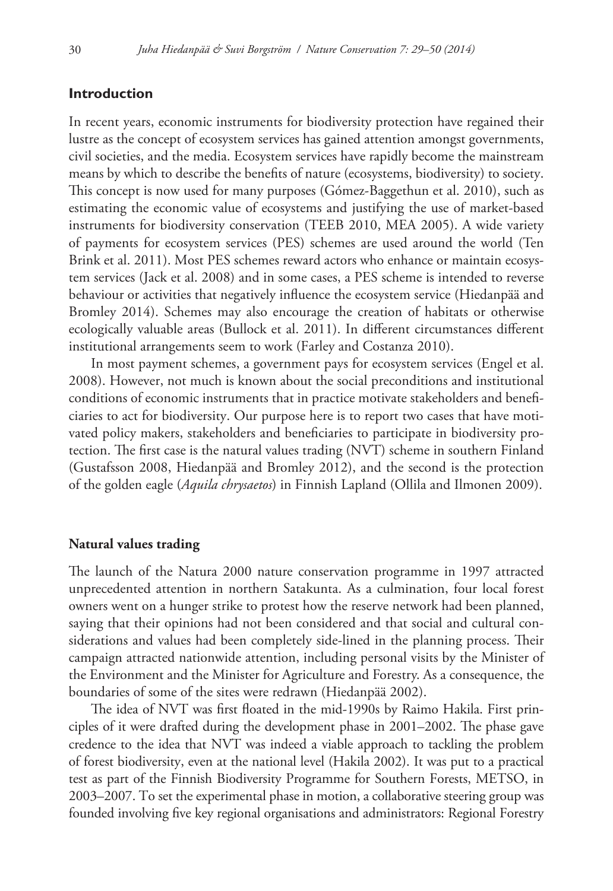# **Introduction**

In recent years, economic instruments for biodiversity protection have regained their lustre as the concept of ecosystem services has gained attention amongst governments, civil societies, and the media. Ecosystem services have rapidly become the mainstream means by which to describe the benefits of nature (ecosystems, biodiversity) to society. This concept is now used for many purposes (Gómez-Baggethun et al. 2010), such as estimating the economic value of ecosystems and justifying the use of market-based instruments for biodiversity conservation (TEEB 2010, MEA 2005). A wide variety of payments for ecosystem services (PES) schemes are used around the world (Ten Brink et al. 2011). Most PES schemes reward actors who enhance or maintain ecosystem services (Jack et al. 2008) and in some cases, a PES scheme is intended to reverse behaviour or activities that negatively influence the ecosystem service (Hiedanpää and Bromley 2014). Schemes may also encourage the creation of habitats or otherwise ecologically valuable areas (Bullock et al. 2011). In different circumstances different institutional arrangements seem to work (Farley and Costanza 2010).

In most payment schemes, a government pays for ecosystem services (Engel et al. 2008). However, not much is known about the social preconditions and institutional conditions of economic instruments that in practice motivate stakeholders and beneficiaries to act for biodiversity. Our purpose here is to report two cases that have motivated policy makers, stakeholders and beneficiaries to participate in biodiversity protection. The first case is the natural values trading (NVT) scheme in southern Finland (Gustafsson 2008, Hiedanpää and Bromley 2012), and the second is the protection of the golden eagle (*Aquila chrysaetos*) in Finnish Lapland (Ollila and Ilmonen 2009).

# **Natural values trading**

The launch of the Natura 2000 nature conservation programme in 1997 attracted unprecedented attention in northern Satakunta. As a culmination, four local forest owners went on a hunger strike to protest how the reserve network had been planned, saying that their opinions had not been considered and that social and cultural considerations and values had been completely side-lined in the planning process. Their campaign attracted nationwide attention, including personal visits by the Minister of the Environment and the Minister for Agriculture and Forestry. As a consequence, the boundaries of some of the sites were redrawn (Hiedanpää 2002).

The idea of NVT was first floated in the mid-1990s by Raimo Hakila. First principles of it were drafted during the development phase in 2001–2002. The phase gave credence to the idea that NVT was indeed a viable approach to tackling the problem of forest biodiversity, even at the national level (Hakila 2002). It was put to a practical test as part of the Finnish Biodiversity Programme for Southern Forests, METSO, in 2003–2007. To set the experimental phase in motion, a collaborative steering group was founded involving five key regional organisations and administrators: Regional Forestry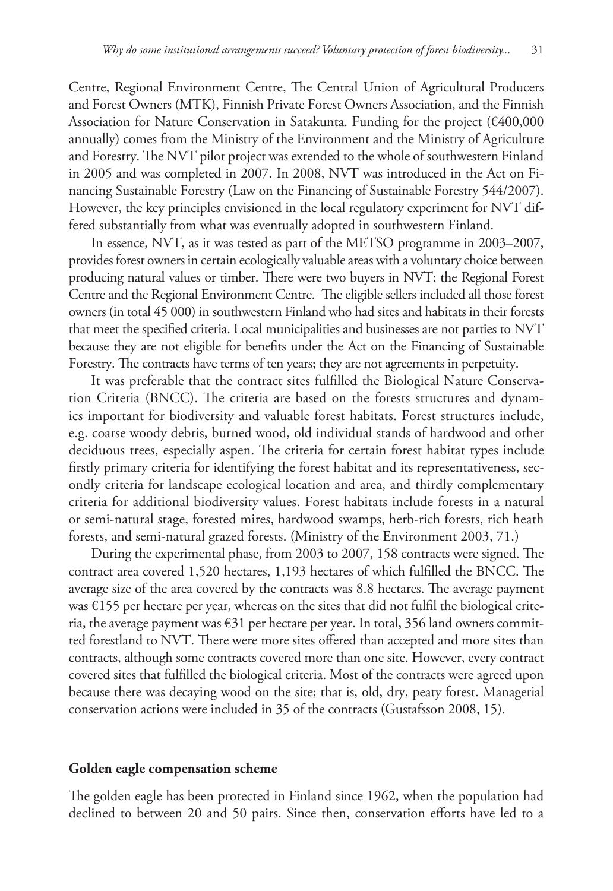Centre, Regional Environment Centre, The Central Union of Agricultural Producers and Forest Owners (MTK), Finnish Private Forest Owners Association, and the Finnish Association for Nature Conservation in Satakunta. Funding for the project (€400,000 annually) comes from the Ministry of the Environment and the Ministry of Agriculture and Forestry. The NVT pilot project was extended to the whole of southwestern Finland in 2005 and was completed in 2007. In 2008, NVT was introduced in the Act on Financing Sustainable Forestry (Law on the Financing of Sustainable Forestry 544/2007). However, the key principles envisioned in the local regulatory experiment for NVT differed substantially from what was eventually adopted in southwestern Finland.

In essence, NVT, as it was tested as part of the METSO programme in 2003–2007, provides forest owners in certain ecologically valuable areas with a voluntary choice between producing natural values or timber. There were two buyers in NVT: the Regional Forest Centre and the Regional Environment Centre. The eligible sellers included all those forest owners (in total 45 000) in southwestern Finland who had sites and habitats in their forests that meet the specified criteria. Local municipalities and businesses are not parties to NVT because they are not eligible for benefits under the Act on the Financing of Sustainable Forestry. The contracts have terms of ten years; they are not agreements in perpetuity.

It was preferable that the contract sites fulfilled the Biological Nature Conservation Criteria (BNCC). The criteria are based on the forests structures and dynamics important for biodiversity and valuable forest habitats. Forest structures include, e.g. coarse woody debris, burned wood, old individual stands of hardwood and other deciduous trees, especially aspen. The criteria for certain forest habitat types include firstly primary criteria for identifying the forest habitat and its representativeness, secondly criteria for landscape ecological location and area, and thirdly complementary criteria for additional biodiversity values. Forest habitats include forests in a natural or semi-natural stage, forested mires, hardwood swamps, herb-rich forests, rich heath forests, and semi-natural grazed forests. (Ministry of the Environment 2003, 71.)

During the experimental phase, from 2003 to 2007, 158 contracts were signed. The contract area covered 1,520 hectares, 1,193 hectares of which fulfilled the BNCC. The average size of the area covered by the contracts was 8.8 hectares. The average payment was  $\epsilon$ 155 per hectare per year, whereas on the sites that did not fulfil the biological criteria, the average payment was  $\epsilon$ 31 per hectare per year. In total, 356 land owners committed forestland to NVT. There were more sites offered than accepted and more sites than contracts, although some contracts covered more than one site. However, every contract covered sites that fulfilled the biological criteria. Most of the contracts were agreed upon because there was decaying wood on the site; that is, old, dry, peaty forest. Managerial conservation actions were included in 35 of the contracts (Gustafsson 2008, 15).

## **Golden eagle compensation scheme**

The golden eagle has been protected in Finland since 1962, when the population had declined to between 20 and 50 pairs. Since then, conservation efforts have led to a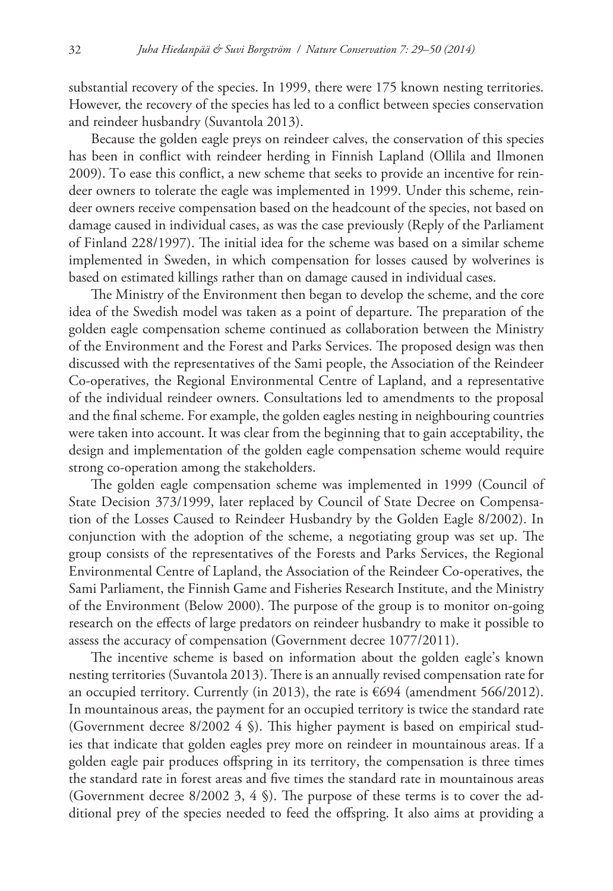substantial recovery of the species. In 1999, there were 175 known nesting territories. However, the recovery of the species has led to a conflict between species conservation and reindeer husbandry (Suvantola 2013).

Because the golden eagle preys on reindeer calves, the conservation of this species has been in conflict with reindeer herding in Finnish Lapland (Ollila and Ilmonen 2009). To ease this conflict, a new scheme that seeks to provide an incentive for reindeer owners to tolerate the eagle was implemented in 1999. Under this scheme, reindeer owners receive compensation based on the headcount of the species, not based on damage caused in individual cases, as was the case previously (Reply of the Parliament of Finland 228/1997). The initial idea for the scheme was based on a similar scheme implemented in Sweden, in which compensation for losses caused by wolverines is based on estimated killings rather than on damage caused in individual cases.

The Ministry of the Environment then began to develop the scheme, and the core idea of the Swedish model was taken as a point of departure. The preparation of the golden eagle compensation scheme continued as collaboration between the Ministry of the Environment and the Forest and Parks Services. The proposed design was then discussed with the representatives of the Sami people, the Association of the Reindeer Co-operatives, the Regional Environmental Centre of Lapland, and a representative of the individual reindeer owners. Consultations led to amendments to the proposal and the final scheme. For example, the golden eagles nesting in neighbouring countries were taken into account. It was clear from the beginning that to gain acceptability, the design and implementation of the golden eagle compensation scheme would require strong co-operation among the stakeholders.

The golden eagle compensation scheme was implemented in 1999 (Council of State Decision 373/1999, later replaced by Council of State Decree on Compensation of the Losses Caused to Reindeer Husbandry by the Golden Eagle 8/2002). In conjunction with the adoption of the scheme, a negotiating group was set up. The group consists of the representatives of the Forests and Parks Services, the Regional Environmental Centre of Lapland, the Association of the Reindeer Co-operatives, the Sami Parliament, the Finnish Game and Fisheries Research Institute, and the Ministry of the Environment (Below 2000). The purpose of the group is to monitor on-going research on the effects of large predators on reindeer husbandry to make it possible to assess the accuracy of compensation (Government decree 1077/2011).

The incentive scheme is based on information about the golden eagle's known nesting territories (Suvantola 2013). There is an annually revised compensation rate for an occupied territory. Currently (in 2013), the rate is €694 (amendment 566/2012). In mountainous areas, the payment for an occupied territory is twice the standard rate (Government decree 8/2002 4 §). This higher payment is based on empirical studies that indicate that golden eagles prey more on reindeer in mountainous areas. If a golden eagle pair produces offspring in its territory, the compensation is three times the standard rate in forest areas and five times the standard rate in mountainous areas (Government decree 8/2002 3, 4 §). The purpose of these terms is to cover the additional prey of the species needed to feed the offspring. It also aims at providing a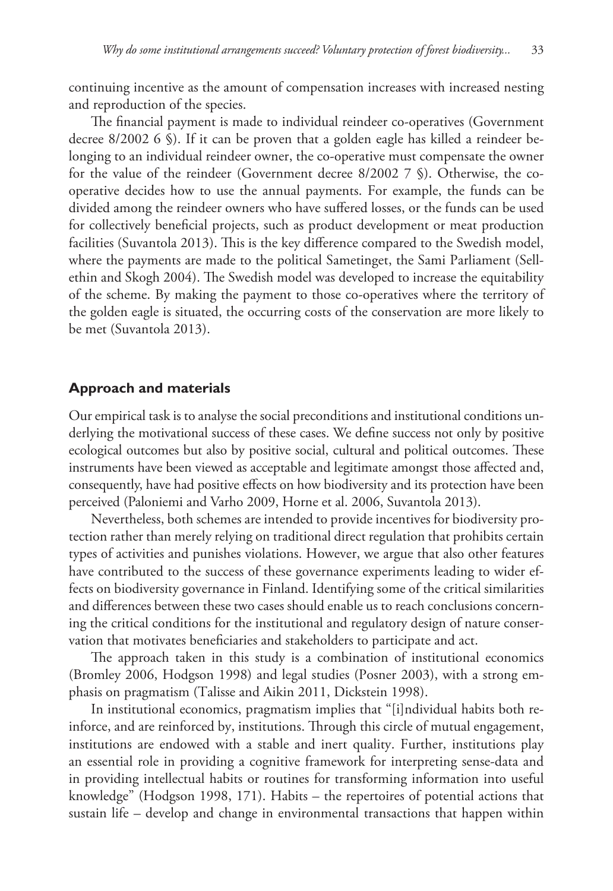continuing incentive as the amount of compensation increases with increased nesting and reproduction of the species.

The financial payment is made to individual reindeer co-operatives (Government decree 8/2002 6 §). If it can be proven that a golden eagle has killed a reindeer belonging to an individual reindeer owner, the co-operative must compensate the owner for the value of the reindeer (Government decree 8/2002 7 §). Otherwise, the cooperative decides how to use the annual payments. For example, the funds can be divided among the reindeer owners who have suffered losses, or the funds can be used for collectively beneficial projects, such as product development or meat production facilities (Suvantola 2013). This is the key difference compared to the Swedish model, where the payments are made to the political Sametinget, the Sami Parliament (Sellethin and Skogh 2004). The Swedish model was developed to increase the equitability of the scheme. By making the payment to those co-operatives where the territory of the golden eagle is situated, the occurring costs of the conservation are more likely to be met (Suvantola 2013).

# **Approach and materials**

Our empirical task is to analyse the social preconditions and institutional conditions underlying the motivational success of these cases. We define success not only by positive ecological outcomes but also by positive social, cultural and political outcomes. These instruments have been viewed as acceptable and legitimate amongst those affected and, consequently, have had positive effects on how biodiversity and its protection have been perceived (Paloniemi and Varho 2009, Horne et al. 2006, Suvantola 2013).

Nevertheless, both schemes are intended to provide incentives for biodiversity protection rather than merely relying on traditional direct regulation that prohibits certain types of activities and punishes violations. However, we argue that also other features have contributed to the success of these governance experiments leading to wider effects on biodiversity governance in Finland. Identifying some of the critical similarities and differences between these two cases should enable us to reach conclusions concerning the critical conditions for the institutional and regulatory design of nature conservation that motivates beneficiaries and stakeholders to participate and act.

The approach taken in this study is a combination of institutional economics (Bromley 2006, Hodgson 1998) and legal studies (Posner 2003), with a strong emphasis on pragmatism (Talisse and Aikin 2011, Dickstein 1998).

In institutional economics, pragmatism implies that "[i]ndividual habits both reinforce, and are reinforced by, institutions. Through this circle of mutual engagement, institutions are endowed with a stable and inert quality. Further, institutions play an essential role in providing a cognitive framework for interpreting sense-data and in providing intellectual habits or routines for transforming information into useful knowledge" (Hodgson 1998, 171). Habits – the repertoires of potential actions that sustain life – develop and change in environmental transactions that happen within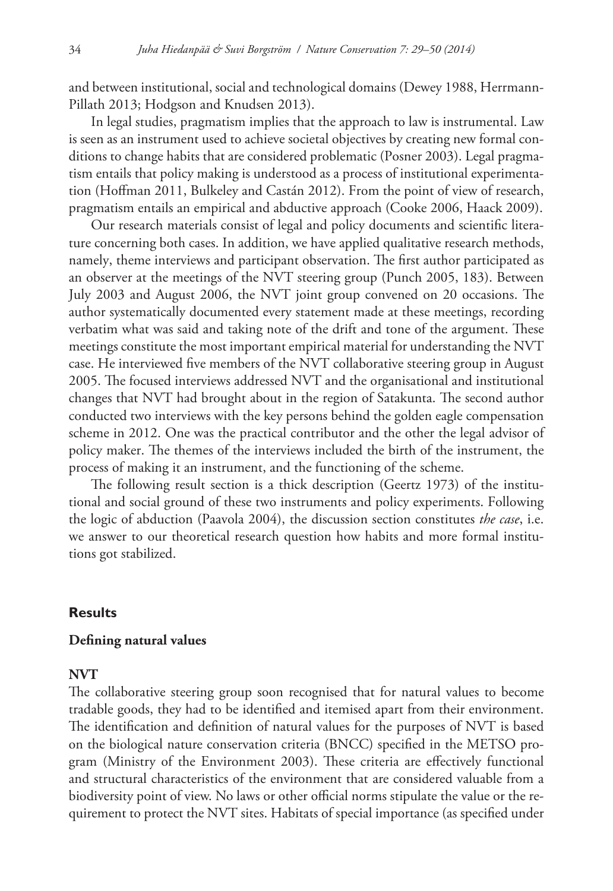and between institutional, social and technological domains (Dewey 1988, Herrmann-Pillath 2013; Hodgson and Knudsen 2013).

In legal studies, pragmatism implies that the approach to law is instrumental. Law is seen as an instrument used to achieve societal objectives by creating new formal conditions to change habits that are considered problematic (Posner 2003). Legal pragmatism entails that policy making is understood as a process of institutional experimentation (Hoffman 2011, Bulkeley and Castán 2012). From the point of view of research, pragmatism entails an empirical and abductive approach (Cooke 2006, Haack 2009).

Our research materials consist of legal and policy documents and scientific literature concerning both cases. In addition, we have applied qualitative research methods, namely, theme interviews and participant observation. The first author participated as an observer at the meetings of the NVT steering group (Punch 2005, 183). Between July 2003 and August 2006, the NVT joint group convened on 20 occasions. The author systematically documented every statement made at these meetings, recording verbatim what was said and taking note of the drift and tone of the argument. These meetings constitute the most important empirical material for understanding the NVT case. He interviewed five members of the NVT collaborative steering group in August 2005. The focused interviews addressed NVT and the organisational and institutional changes that NVT had brought about in the region of Satakunta. The second author conducted two interviews with the key persons behind the golden eagle compensation scheme in 2012. One was the practical contributor and the other the legal advisor of policy maker. The themes of the interviews included the birth of the instrument, the process of making it an instrument, and the functioning of the scheme.

The following result section is a thick description (Geertz 1973) of the institutional and social ground of these two instruments and policy experiments. Following the logic of abduction (Paavola 2004), the discussion section constitutes *the case*, i.e. we answer to our theoretical research question how habits and more formal institutions got stabilized.

# **Results**

# **Defining natural values**

# **NVT**

The collaborative steering group soon recognised that for natural values to become tradable goods, they had to be identified and itemised apart from their environment. The identification and definition of natural values for the purposes of NVT is based on the biological nature conservation criteria (BNCC) specified in the METSO program (Ministry of the Environment 2003). These criteria are effectively functional and structural characteristics of the environment that are considered valuable from a biodiversity point of view. No laws or other official norms stipulate the value or the requirement to protect the NVT sites. Habitats of special importance (as specified under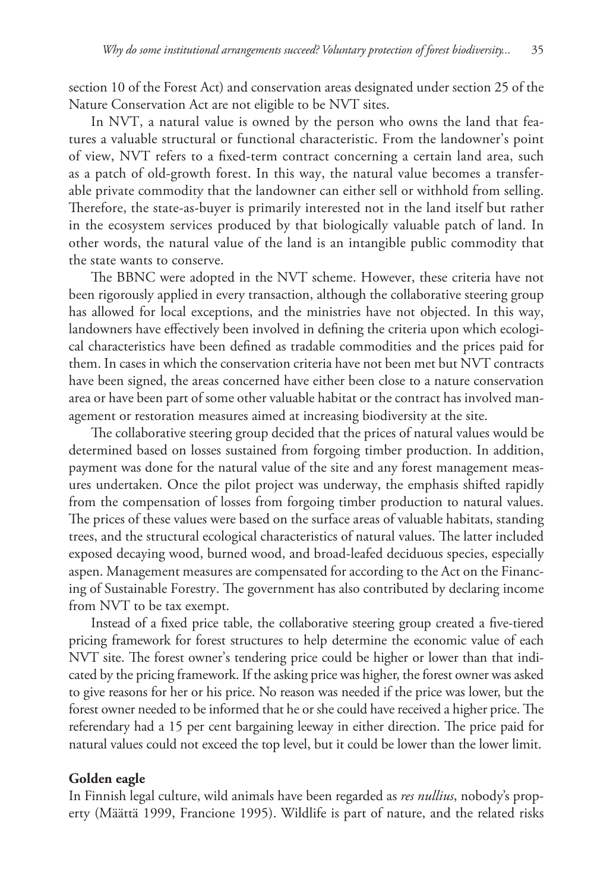section 10 of the Forest Act) and conservation areas designated under section 25 of the Nature Conservation Act are not eligible to be NVT sites.

In NVT, a natural value is owned by the person who owns the land that features a valuable structural or functional characteristic. From the landowner's point of view, NVT refers to a fixed-term contract concerning a certain land area, such as a patch of old-growth forest. In this way, the natural value becomes a transferable private commodity that the landowner can either sell or withhold from selling. Therefore, the state-as-buyer is primarily interested not in the land itself but rather in the ecosystem services produced by that biologically valuable patch of land. In other words, the natural value of the land is an intangible public commodity that the state wants to conserve.

The BBNC were adopted in the NVT scheme. However, these criteria have not been rigorously applied in every transaction, although the collaborative steering group has allowed for local exceptions, and the ministries have not objected. In this way, landowners have effectively been involved in defining the criteria upon which ecological characteristics have been defined as tradable commodities and the prices paid for them. In cases in which the conservation criteria have not been met but NVT contracts have been signed, the areas concerned have either been close to a nature conservation area or have been part of some other valuable habitat or the contract has involved management or restoration measures aimed at increasing biodiversity at the site.

The collaborative steering group decided that the prices of natural values would be determined based on losses sustained from forgoing timber production. In addition, payment was done for the natural value of the site and any forest management measures undertaken. Once the pilot project was underway, the emphasis shifted rapidly from the compensation of losses from forgoing timber production to natural values. The prices of these values were based on the surface areas of valuable habitats, standing trees, and the structural ecological characteristics of natural values. The latter included exposed decaying wood, burned wood, and broad-leafed deciduous species, especially aspen. Management measures are compensated for according to the Act on the Financing of Sustainable Forestry. The government has also contributed by declaring income from NVT to be tax exempt.

Instead of a fixed price table, the collaborative steering group created a five-tiered pricing framework for forest structures to help determine the economic value of each NVT site. The forest owner's tendering price could be higher or lower than that indicated by the pricing framework. If the asking price was higher, the forest owner was asked to give reasons for her or his price. No reason was needed if the price was lower, but the forest owner needed to be informed that he or she could have received a higher price. The referendary had a 15 per cent bargaining leeway in either direction. The price paid for natural values could not exceed the top level, but it could be lower than the lower limit.

# **Golden eagle**

In Finnish legal culture, wild animals have been regarded as *res nullius*, nobody's property (Määttä 1999, Francione 1995). Wildlife is part of nature, and the related risks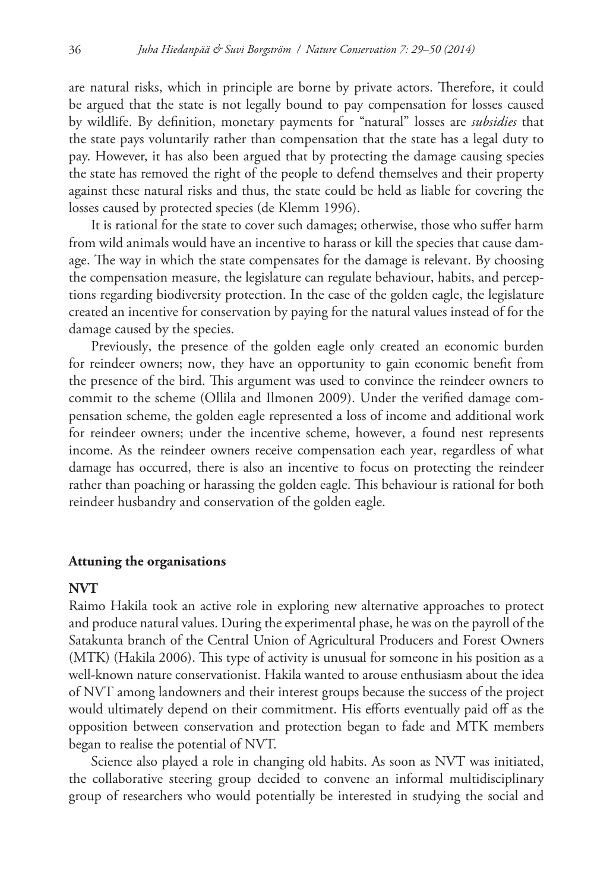are natural risks, which in principle are borne by private actors. Therefore, it could be argued that the state is not legally bound to pay compensation for losses caused by wildlife. By definition, monetary payments for "natural" losses are *subsidies* that the state pays voluntarily rather than compensation that the state has a legal duty to pay. However, it has also been argued that by protecting the damage causing species the state has removed the right of the people to defend themselves and their property against these natural risks and thus, the state could be held as liable for covering the losses caused by protected species (de Klemm 1996).

It is rational for the state to cover such damages; otherwise, those who suffer harm from wild animals would have an incentive to harass or kill the species that cause damage. The way in which the state compensates for the damage is relevant. By choosing the compensation measure, the legislature can regulate behaviour, habits, and perceptions regarding biodiversity protection. In the case of the golden eagle, the legislature created an incentive for conservation by paying for the natural values instead of for the damage caused by the species.

Previously, the presence of the golden eagle only created an economic burden for reindeer owners; now, they have an opportunity to gain economic benefit from the presence of the bird. This argument was used to convince the reindeer owners to commit to the scheme (Ollila and Ilmonen 2009). Under the verified damage compensation scheme, the golden eagle represented a loss of income and additional work for reindeer owners; under the incentive scheme, however, a found nest represents income. As the reindeer owners receive compensation each year, regardless of what damage has occurred, there is also an incentive to focus on protecting the reindeer rather than poaching or harassing the golden eagle. This behaviour is rational for both reindeer husbandry and conservation of the golden eagle.

#### **Attuning the organisations**

# **NVT**

Raimo Hakila took an active role in exploring new alternative approaches to protect and produce natural values. During the experimental phase, he was on the payroll of the Satakunta branch of the Central Union of Agricultural Producers and Forest Owners (MTK) (Hakila 2006). This type of activity is unusual for someone in his position as a well-known nature conservationist. Hakila wanted to arouse enthusiasm about the idea of NVT among landowners and their interest groups because the success of the project would ultimately depend on their commitment. His efforts eventually paid off as the opposition between conservation and protection began to fade and MTK members began to realise the potential of NVT.

Science also played a role in changing old habits. As soon as NVT was initiated, the collaborative steering group decided to convene an informal multidisciplinary group of researchers who would potentially be interested in studying the social and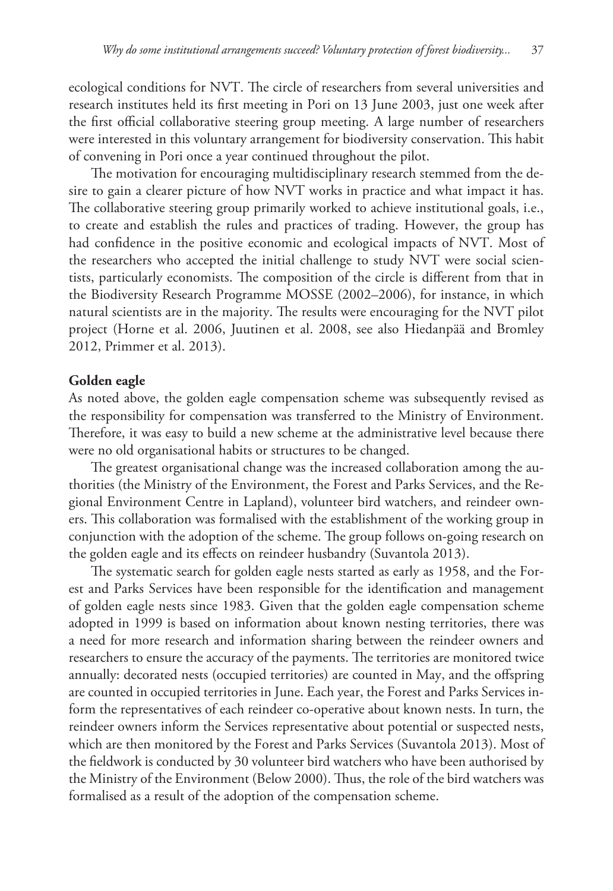ecological conditions for NVT. The circle of researchers from several universities and research institutes held its first meeting in Pori on 13 June 2003, just one week after the first official collaborative steering group meeting. A large number of researchers were interested in this voluntary arrangement for biodiversity conservation. This habit of convening in Pori once a year continued throughout the pilot.

The motivation for encouraging multidisciplinary research stemmed from the desire to gain a clearer picture of how NVT works in practice and what impact it has. The collaborative steering group primarily worked to achieve institutional goals, i.e., to create and establish the rules and practices of trading. However, the group has had confidence in the positive economic and ecological impacts of NVT. Most of the researchers who accepted the initial challenge to study NVT were social scientists, particularly economists. The composition of the circle is different from that in the Biodiversity Research Programme MOSSE (2002–2006), for instance, in which natural scientists are in the majority. The results were encouraging for the NVT pilot project (Horne et al. 2006, Juutinen et al. 2008, see also Hiedanpää and Bromley 2012, Primmer et al. 2013).

## **Golden eagle**

As noted above, the golden eagle compensation scheme was subsequently revised as the responsibility for compensation was transferred to the Ministry of Environment. Therefore, it was easy to build a new scheme at the administrative level because there were no old organisational habits or structures to be changed.

The greatest organisational change was the increased collaboration among the authorities (the Ministry of the Environment, the Forest and Parks Services, and the Regional Environment Centre in Lapland), volunteer bird watchers, and reindeer owners. This collaboration was formalised with the establishment of the working group in conjunction with the adoption of the scheme. The group follows on-going research on the golden eagle and its effects on reindeer husbandry (Suvantola 2013).

The systematic search for golden eagle nests started as early as 1958, and the Forest and Parks Services have been responsible for the identification and management of golden eagle nests since 1983. Given that the golden eagle compensation scheme adopted in 1999 is based on information about known nesting territories, there was a need for more research and information sharing between the reindeer owners and researchers to ensure the accuracy of the payments. The territories are monitored twice annually: decorated nests (occupied territories) are counted in May, and the offspring are counted in occupied territories in June. Each year, the Forest and Parks Services inform the representatives of each reindeer co-operative about known nests. In turn, the reindeer owners inform the Services representative about potential or suspected nests, which are then monitored by the Forest and Parks Services (Suvantola 2013). Most of the fieldwork is conducted by 30 volunteer bird watchers who have been authorised by the Ministry of the Environment (Below 2000). Thus, the role of the bird watchers was formalised as a result of the adoption of the compensation scheme.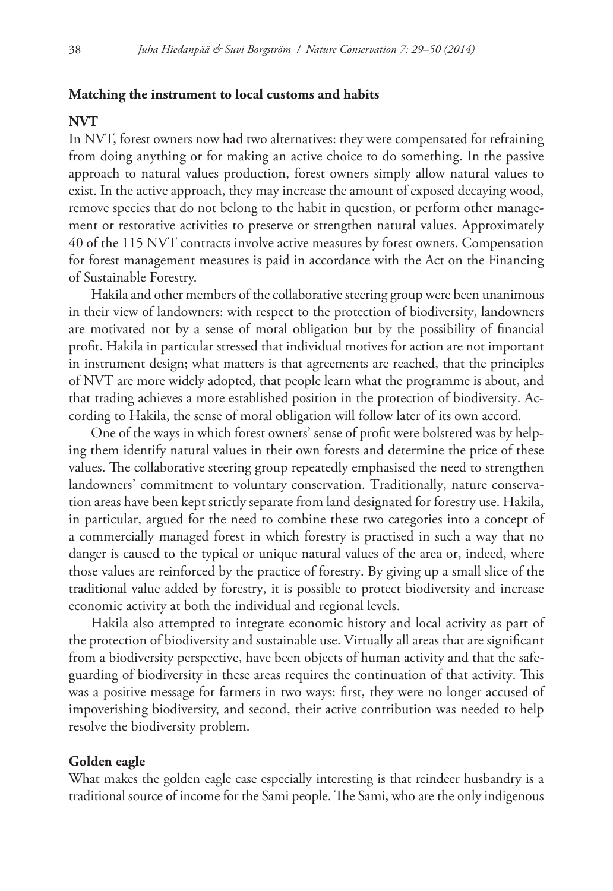#### **Matching the instrument to local customs and habits**

#### **NVT**

In NVT, forest owners now had two alternatives: they were compensated for refraining from doing anything or for making an active choice to do something. In the passive approach to natural values production, forest owners simply allow natural values to exist. In the active approach, they may increase the amount of exposed decaying wood, remove species that do not belong to the habit in question, or perform other management or restorative activities to preserve or strengthen natural values. Approximately 40 of the 115 NVT contracts involve active measures by forest owners. Compensation for forest management measures is paid in accordance with the Act on the Financing of Sustainable Forestry.

Hakila and other members of the collaborative steering group were been unanimous in their view of landowners: with respect to the protection of biodiversity, landowners are motivated not by a sense of moral obligation but by the possibility of financial profit. Hakila in particular stressed that individual motives for action are not important in instrument design; what matters is that agreements are reached, that the principles of NVT are more widely adopted, that people learn what the programme is about, and that trading achieves a more established position in the protection of biodiversity. According to Hakila, the sense of moral obligation will follow later of its own accord.

One of the ways in which forest owners' sense of profit were bolstered was by helping them identify natural values in their own forests and determine the price of these values. The collaborative steering group repeatedly emphasised the need to strengthen landowners' commitment to voluntary conservation. Traditionally, nature conservation areas have been kept strictly separate from land designated for forestry use. Hakila, in particular, argued for the need to combine these two categories into a concept of a commercially managed forest in which forestry is practised in such a way that no danger is caused to the typical or unique natural values of the area or, indeed, where those values are reinforced by the practice of forestry. By giving up a small slice of the traditional value added by forestry, it is possible to protect biodiversity and increase economic activity at both the individual and regional levels.

Hakila also attempted to integrate economic history and local activity as part of the protection of biodiversity and sustainable use. Virtually all areas that are significant from a biodiversity perspective, have been objects of human activity and that the safeguarding of biodiversity in these areas requires the continuation of that activity. This was a positive message for farmers in two ways: first, they were no longer accused of impoverishing biodiversity, and second, their active contribution was needed to help resolve the biodiversity problem.

#### **Golden eagle**

What makes the golden eagle case especially interesting is that reindeer husbandry is a traditional source of income for the Sami people. The Sami, who are the only indigenous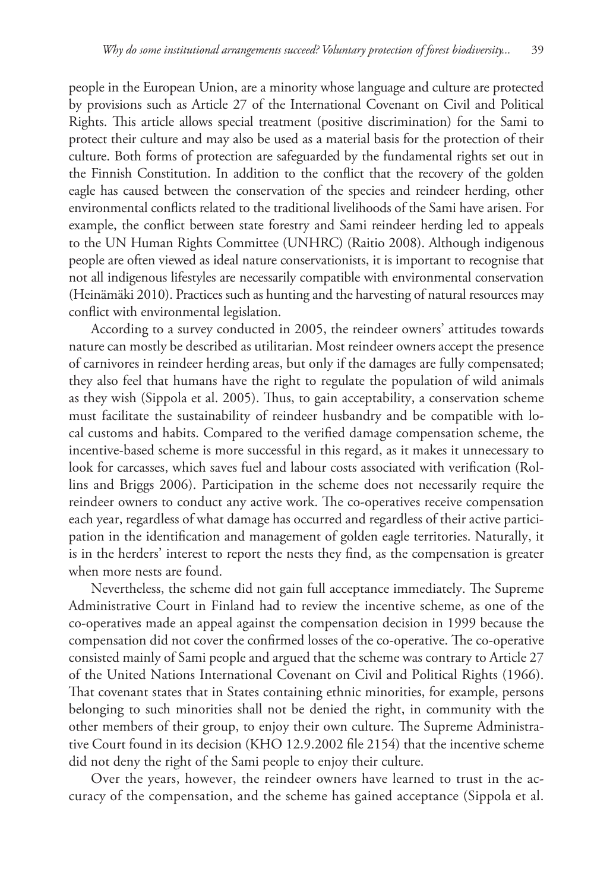people in the European Union, are a minority whose language and culture are protected by provisions such as Article 27 of the International Covenant on Civil and Political Rights. This article allows special treatment (positive discrimination) for the Sami to protect their culture and may also be used as a material basis for the protection of their culture. Both forms of protection are safeguarded by the fundamental rights set out in the Finnish Constitution. In addition to the conflict that the recovery of the golden eagle has caused between the conservation of the species and reindeer herding, other environmental conflicts related to the traditional livelihoods of the Sami have arisen. For example, the conflict between state forestry and Sami reindeer herding led to appeals to the UN Human Rights Committee (UNHRC) (Raitio 2008). Although indigenous people are often viewed as ideal nature conservationists, it is important to recognise that not all indigenous lifestyles are necessarily compatible with environmental conservation (Heinämäki 2010). Practices such as hunting and the harvesting of natural resources may conflict with environmental legislation.

According to a survey conducted in 2005, the reindeer owners' attitudes towards nature can mostly be described as utilitarian. Most reindeer owners accept the presence of carnivores in reindeer herding areas, but only if the damages are fully compensated; they also feel that humans have the right to regulate the population of wild animals as they wish (Sippola et al. 2005). Thus, to gain acceptability, a conservation scheme must facilitate the sustainability of reindeer husbandry and be compatible with local customs and habits. Compared to the verified damage compensation scheme, the incentive-based scheme is more successful in this regard, as it makes it unnecessary to look for carcasses, which saves fuel and labour costs associated with verification (Rollins and Briggs 2006). Participation in the scheme does not necessarily require the reindeer owners to conduct any active work. The co-operatives receive compensation each year, regardless of what damage has occurred and regardless of their active participation in the identification and management of golden eagle territories. Naturally, it is in the herders' interest to report the nests they find, as the compensation is greater when more nests are found.

Nevertheless, the scheme did not gain full acceptance immediately. The Supreme Administrative Court in Finland had to review the incentive scheme, as one of the co-operatives made an appeal against the compensation decision in 1999 because the compensation did not cover the confirmed losses of the co-operative. The co-operative consisted mainly of Sami people and argued that the scheme was contrary to Article 27 of the United Nations International Covenant on Civil and Political Rights (1966). That covenant states that in States containing ethnic minorities, for example, persons belonging to such minorities shall not be denied the right, in community with the other members of their group, to enjoy their own culture. The Supreme Administrative Court found in its decision (KHO 12.9.2002 file 2154) that the incentive scheme did not deny the right of the Sami people to enjoy their culture.

Over the years, however, the reindeer owners have learned to trust in the accuracy of the compensation, and the scheme has gained acceptance (Sippola et al.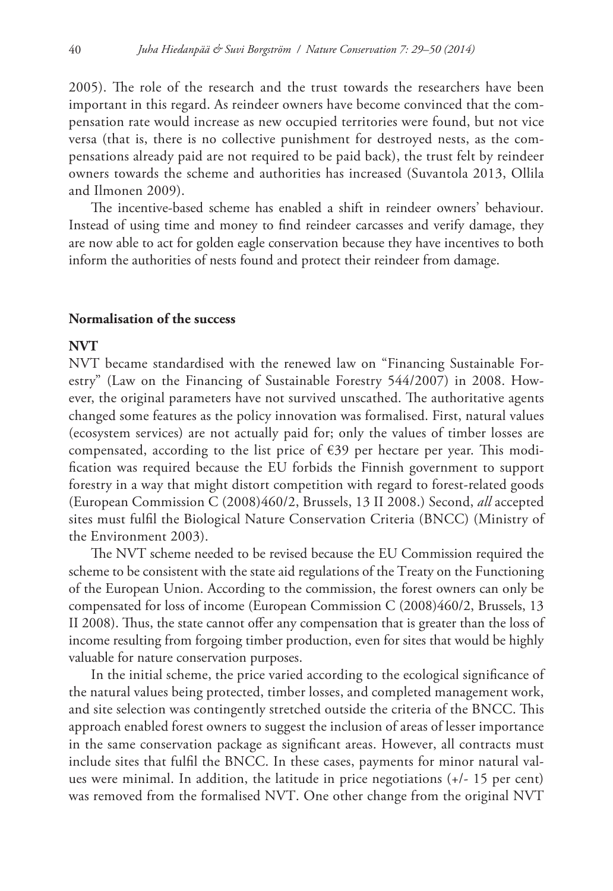2005). The role of the research and the trust towards the researchers have been important in this regard. As reindeer owners have become convinced that the compensation rate would increase as new occupied territories were found, but not vice versa (that is, there is no collective punishment for destroyed nests, as the compensations already paid are not required to be paid back), the trust felt by reindeer owners towards the scheme and authorities has increased (Suvantola 2013, Ollila and Ilmonen 2009).

The incentive-based scheme has enabled a shift in reindeer owners' behaviour. Instead of using time and money to find reindeer carcasses and verify damage, they are now able to act for golden eagle conservation because they have incentives to both inform the authorities of nests found and protect their reindeer from damage.

# **Normalisation of the success**

# **NVT**

NVT became standardised with the renewed law on "Financing Sustainable Forestry" (Law on the Financing of Sustainable Forestry 544/2007) in 2008. However, the original parameters have not survived unscathed. The authoritative agents changed some features as the policy innovation was formalised. First, natural values (ecosystem services) are not actually paid for; only the values of timber losses are compensated, according to the list price of  $\epsilon$ 39 per hectare per year. This modification was required because the EU forbids the Finnish government to support forestry in a way that might distort competition with regard to forest-related goods (European Commission C (2008)460/2, Brussels, 13 II 2008.) Second, *all* accepted sites must fulfil the Biological Nature Conservation Criteria (BNCC) (Ministry of the Environment 2003).

The NVT scheme needed to be revised because the EU Commission required the scheme to be consistent with the state aid regulations of the Treaty on the Functioning of the European Union. According to the commission, the forest owners can only be compensated for loss of income (European Commission C (2008)460/2, Brussels, 13 II 2008). Thus, the state cannot offer any compensation that is greater than the loss of income resulting from forgoing timber production, even for sites that would be highly valuable for nature conservation purposes.

In the initial scheme, the price varied according to the ecological significance of the natural values being protected, timber losses, and completed management work, and site selection was contingently stretched outside the criteria of the BNCC. This approach enabled forest owners to suggest the inclusion of areas of lesser importance in the same conservation package as significant areas. However, all contracts must include sites that fulfil the BNCC. In these cases, payments for minor natural values were minimal. In addition, the latitude in price negotiations (+/- 15 per cent) was removed from the formalised NVT. One other change from the original NVT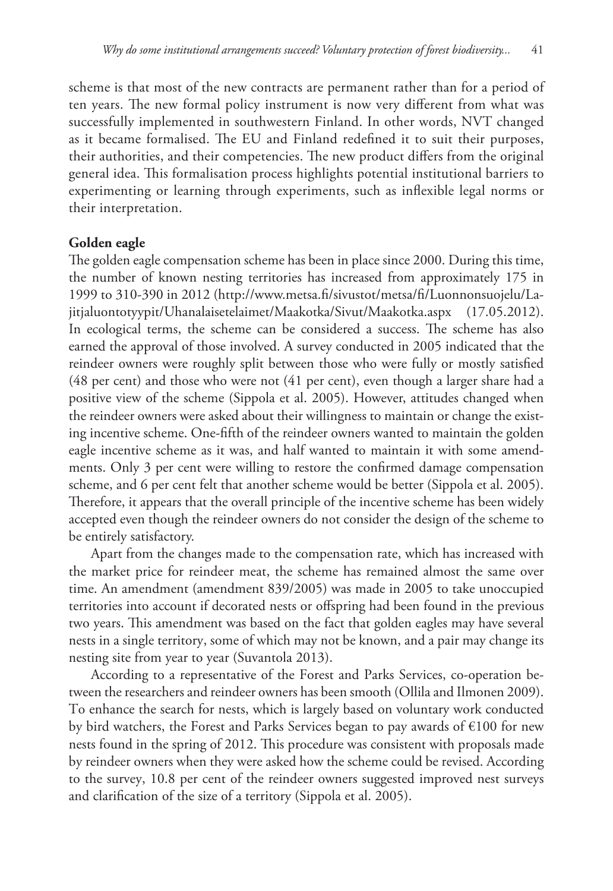scheme is that most of the new contracts are permanent rather than for a period of ten years. The new formal policy instrument is now very different from what was successfully implemented in southwestern Finland. In other words, NVT changed as it became formalised. The EU and Finland redefined it to suit their purposes, their authorities, and their competencies. The new product differs from the original general idea. This formalisation process highlights potential institutional barriers to experimenting or learning through experiments, such as inflexible legal norms or their interpretation.

# **Golden eagle**

The golden eagle compensation scheme has been in place since 2000. During this time, the number of known nesting territories has increased from approximately 175 in 1999 to 310-390 in 2012 [\(http://www.metsa.fi/sivustot/metsa/fi/Luonnonsuojelu/La](http://www.metsa.fi/sivustot/metsa/fi/Luonnonsuojelu/Lajitjaluontotyypit/Uhanalaisetelaimet/Maakotka/Sivut/Maakotka.aspx)[jitjaluontotyypit/Uhanalaisetelaimet/Maakotka/Sivut/Maakotka.aspx](http://www.metsa.fi/sivustot/metsa/fi/Luonnonsuojelu/Lajitjaluontotyypit/Uhanalaisetelaimet/Maakotka/Sivut/Maakotka.aspx) (17.05.2012). In ecological terms, the scheme can be considered a success. The scheme has also earned the approval of those involved. A survey conducted in 2005 indicated that the reindeer owners were roughly split between those who were fully or mostly satisfied (48 per cent) and those who were not (41 per cent), even though a larger share had a positive view of the scheme (Sippola et al. 2005). However, attitudes changed when the reindeer owners were asked about their willingness to maintain or change the existing incentive scheme. One-fifth of the reindeer owners wanted to maintain the golden eagle incentive scheme as it was, and half wanted to maintain it with some amendments. Only 3 per cent were willing to restore the confirmed damage compensation scheme, and 6 per cent felt that another scheme would be better (Sippola et al. 2005). Therefore, it appears that the overall principle of the incentive scheme has been widely accepted even though the reindeer owners do not consider the design of the scheme to be entirely satisfactory.

Apart from the changes made to the compensation rate, which has increased with the market price for reindeer meat, the scheme has remained almost the same over time. An amendment (amendment 839/2005) was made in 2005 to take unoccupied territories into account if decorated nests or offspring had been found in the previous two years. This amendment was based on the fact that golden eagles may have several nests in a single territory, some of which may not be known, and a pair may change its nesting site from year to year (Suvantola 2013).

According to a representative of the Forest and Parks Services, co-operation between the researchers and reindeer owners has been smooth (Ollila and Ilmonen 2009). To enhance the search for nests, which is largely based on voluntary work conducted by bird watchers, the Forest and Parks Services began to pay awards of €100 for new nests found in the spring of 2012. This procedure was consistent with proposals made by reindeer owners when they were asked how the scheme could be revised. According to the survey, 10.8 per cent of the reindeer owners suggested improved nest surveys and clarification of the size of a territory (Sippola et al. 2005).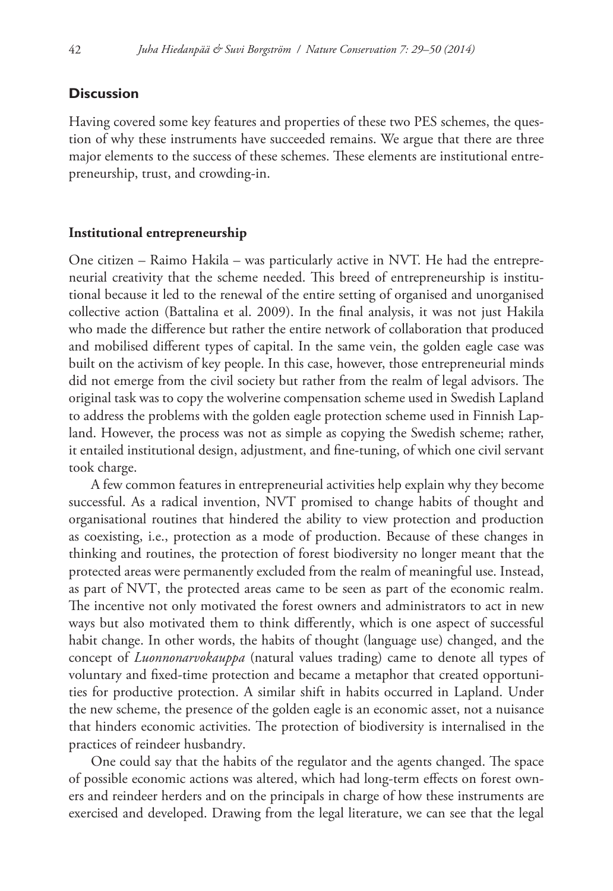# **Discussion**

Having covered some key features and properties of these two PES schemes, the question of why these instruments have succeeded remains. We argue that there are three major elements to the success of these schemes. These elements are institutional entrepreneurship, trust, and crowding-in.

## **Institutional entrepreneurship**

One citizen – Raimo Hakila – was particularly active in NVT. He had the entrepreneurial creativity that the scheme needed. This breed of entrepreneurship is institutional because it led to the renewal of the entire setting of organised and unorganised collective action (Battalina et al. 2009). In the final analysis, it was not just Hakila who made the difference but rather the entire network of collaboration that produced and mobilised different types of capital. In the same vein, the golden eagle case was built on the activism of key people. In this case, however, those entrepreneurial minds did not emerge from the civil society but rather from the realm of legal advisors. The original task was to copy the wolverine compensation scheme used in Swedish Lapland to address the problems with the golden eagle protection scheme used in Finnish Lapland. However, the process was not as simple as copying the Swedish scheme; rather, it entailed institutional design, adjustment, and fine-tuning, of which one civil servant took charge.

A few common features in entrepreneurial activities help explain why they become successful. As a radical invention, NVT promised to change habits of thought and organisational routines that hindered the ability to view protection and production as coexisting, i.e., protection as a mode of production. Because of these changes in thinking and routines, the protection of forest biodiversity no longer meant that the protected areas were permanently excluded from the realm of meaningful use. Instead, as part of NVT, the protected areas came to be seen as part of the economic realm. The incentive not only motivated the forest owners and administrators to act in new ways but also motivated them to think differently, which is one aspect of successful habit change. In other words, the habits of thought (language use) changed, and the concept of *Luonnonarvokauppa* (natural values trading) came to denote all types of voluntary and fixed-time protection and became a metaphor that created opportunities for productive protection. A similar shift in habits occurred in Lapland. Under the new scheme, the presence of the golden eagle is an economic asset, not a nuisance that hinders economic activities. The protection of biodiversity is internalised in the practices of reindeer husbandry.

One could say that the habits of the regulator and the agents changed. The space of possible economic actions was altered, which had long-term effects on forest owners and reindeer herders and on the principals in charge of how these instruments are exercised and developed. Drawing from the legal literature, we can see that the legal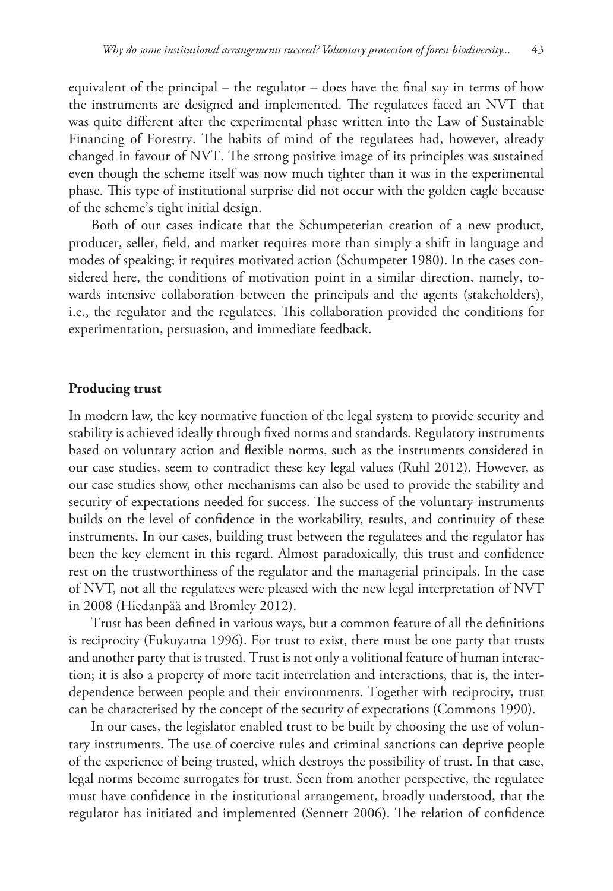equivalent of the principal – the regulator – does have the final say in terms of how the instruments are designed and implemented. The regulatees faced an NVT that was quite different after the experimental phase written into the Law of Sustainable Financing of Forestry. The habits of mind of the regulatees had, however, already changed in favour of NVT. The strong positive image of its principles was sustained even though the scheme itself was now much tighter than it was in the experimental phase. This type of institutional surprise did not occur with the golden eagle because of the scheme's tight initial design.

Both of our cases indicate that the Schumpeterian creation of a new product, producer, seller, field, and market requires more than simply a shift in language and modes of speaking; it requires motivated action (Schumpeter 1980). In the cases considered here, the conditions of motivation point in a similar direction, namely, towards intensive collaboration between the principals and the agents (stakeholders), i.e., the regulator and the regulatees. This collaboration provided the conditions for experimentation, persuasion, and immediate feedback.

#### **Producing trust**

In modern law, the key normative function of the legal system to provide security and stability is achieved ideally through fixed norms and standards. Regulatory instruments based on voluntary action and flexible norms, such as the instruments considered in our case studies, seem to contradict these key legal values (Ruhl 2012). However, as our case studies show, other mechanisms can also be used to provide the stability and security of expectations needed for success. The success of the voluntary instruments builds on the level of confidence in the workability, results, and continuity of these instruments. In our cases, building trust between the regulatees and the regulator has been the key element in this regard. Almost paradoxically, this trust and confidence rest on the trustworthiness of the regulator and the managerial principals. In the case of NVT, not all the regulatees were pleased with the new legal interpretation of NVT in 2008 (Hiedanpää and Bromley 2012).

Trust has been defined in various ways, but a common feature of all the definitions is reciprocity (Fukuyama 1996). For trust to exist, there must be one party that trusts and another party that is trusted. Trust is not only a volitional feature of human interaction; it is also a property of more tacit interrelation and interactions, that is, the interdependence between people and their environments. Together with reciprocity, trust can be characterised by the concept of the security of expectations (Commons 1990).

In our cases, the legislator enabled trust to be built by choosing the use of voluntary instruments. The use of coercive rules and criminal sanctions can deprive people of the experience of being trusted, which destroys the possibility of trust. In that case, legal norms become surrogates for trust. Seen from another perspective, the regulatee must have confidence in the institutional arrangement, broadly understood, that the regulator has initiated and implemented (Sennett 2006). The relation of confidence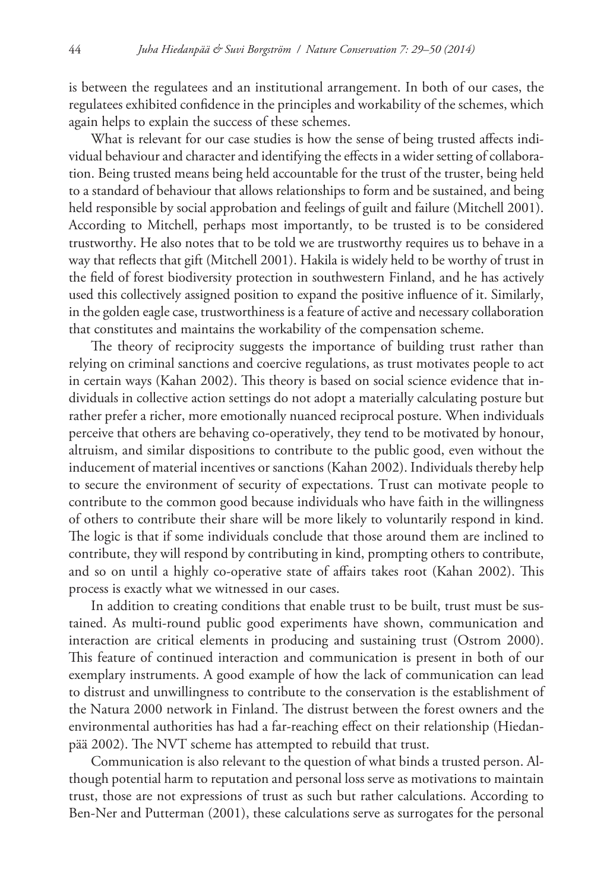is between the regulatees and an institutional arrangement. In both of our cases, the regulatees exhibited confidence in the principles and workability of the schemes, which again helps to explain the success of these schemes.

What is relevant for our case studies is how the sense of being trusted affects individual behaviour and character and identifying the effects in a wider setting of collaboration. Being trusted means being held accountable for the trust of the truster, being held to a standard of behaviour that allows relationships to form and be sustained, and being held responsible by social approbation and feelings of guilt and failure (Mitchell 2001). According to Mitchell, perhaps most importantly, to be trusted is to be considered trustworthy. He also notes that to be told we are trustworthy requires us to behave in a way that reflects that gift (Mitchell 2001). Hakila is widely held to be worthy of trust in the field of forest biodiversity protection in southwestern Finland, and he has actively used this collectively assigned position to expand the positive influence of it. Similarly, in the golden eagle case, trustworthiness is a feature of active and necessary collaboration that constitutes and maintains the workability of the compensation scheme.

The theory of reciprocity suggests the importance of building trust rather than relying on criminal sanctions and coercive regulations, as trust motivates people to act in certain ways (Kahan 2002). This theory is based on social science evidence that individuals in collective action settings do not adopt a materially calculating posture but rather prefer a richer, more emotionally nuanced reciprocal posture. When individuals perceive that others are behaving co-operatively, they tend to be motivated by honour, altruism, and similar dispositions to contribute to the public good, even without the inducement of material incentives or sanctions (Kahan 2002). Individuals thereby help to secure the environment of security of expectations. Trust can motivate people to contribute to the common good because individuals who have faith in the willingness of others to contribute their share will be more likely to voluntarily respond in kind. The logic is that if some individuals conclude that those around them are inclined to contribute, they will respond by contributing in kind, prompting others to contribute, and so on until a highly co-operative state of affairs takes root (Kahan 2002). This process is exactly what we witnessed in our cases.

In addition to creating conditions that enable trust to be built, trust must be sustained. As multi-round public good experiments have shown, communication and interaction are critical elements in producing and sustaining trust (Ostrom 2000). This feature of continued interaction and communication is present in both of our exemplary instruments. A good example of how the lack of communication can lead to distrust and unwillingness to contribute to the conservation is the establishment of the Natura 2000 network in Finland. The distrust between the forest owners and the environmental authorities has had a far-reaching effect on their relationship (Hiedanpää 2002). The NVT scheme has attempted to rebuild that trust.

Communication is also relevant to the question of what binds a trusted person. Although potential harm to reputation and personal loss serve as motivations to maintain trust, those are not expressions of trust as such but rather calculations. According to Ben-Ner and Putterman (2001), these calculations serve as surrogates for the personal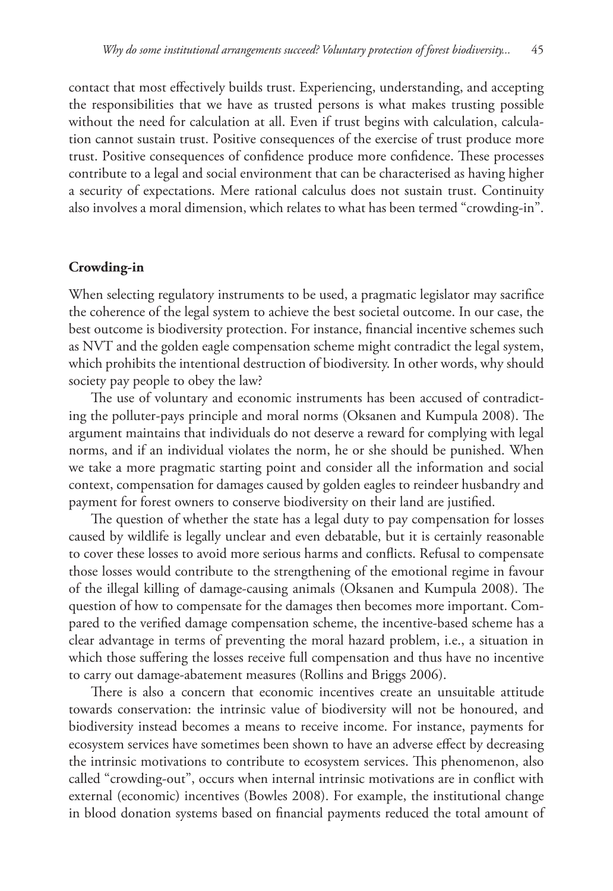contact that most effectively builds trust. Experiencing, understanding, and accepting the responsibilities that we have as trusted persons is what makes trusting possible without the need for calculation at all. Even if trust begins with calculation, calculation cannot sustain trust. Positive consequences of the exercise of trust produce more trust. Positive consequences of confidence produce more confidence. These processes contribute to a legal and social environment that can be characterised as having higher a security of expectations. Mere rational calculus does not sustain trust. Continuity also involves a moral dimension, which relates to what has been termed "crowding-in".

# **Crowding-in**

When selecting regulatory instruments to be used, a pragmatic legislator may sacrifice the coherence of the legal system to achieve the best societal outcome. In our case, the best outcome is biodiversity protection. For instance, financial incentive schemes such as NVT and the golden eagle compensation scheme might contradict the legal system, which prohibits the intentional destruction of biodiversity. In other words, why should society pay people to obey the law?

The use of voluntary and economic instruments has been accused of contradicting the polluter-pays principle and moral norms (Oksanen and Kumpula 2008). The argument maintains that individuals do not deserve a reward for complying with legal norms, and if an individual violates the norm, he or she should be punished. When we take a more pragmatic starting point and consider all the information and social context, compensation for damages caused by golden eagles to reindeer husbandry and payment for forest owners to conserve biodiversity on their land are justified.

The question of whether the state has a legal duty to pay compensation for losses caused by wildlife is legally unclear and even debatable, but it is certainly reasonable to cover these losses to avoid more serious harms and conflicts. Refusal to compensate those losses would contribute to the strengthening of the emotional regime in favour of the illegal killing of damage-causing animals (Oksanen and Kumpula 2008). The question of how to compensate for the damages then becomes more important. Compared to the verified damage compensation scheme, the incentive-based scheme has a clear advantage in terms of preventing the moral hazard problem, i.e., a situation in which those suffering the losses receive full compensation and thus have no incentive to carry out damage-abatement measures (Rollins and Briggs 2006).

There is also a concern that economic incentives create an unsuitable attitude towards conservation: the intrinsic value of biodiversity will not be honoured, and biodiversity instead becomes a means to receive income. For instance, payments for ecosystem services have sometimes been shown to have an adverse effect by decreasing the intrinsic motivations to contribute to ecosystem services. This phenomenon, also called "crowding-out", occurs when internal intrinsic motivations are in conflict with external (economic) incentives (Bowles 2008). For example, the institutional change in blood donation systems based on financial payments reduced the total amount of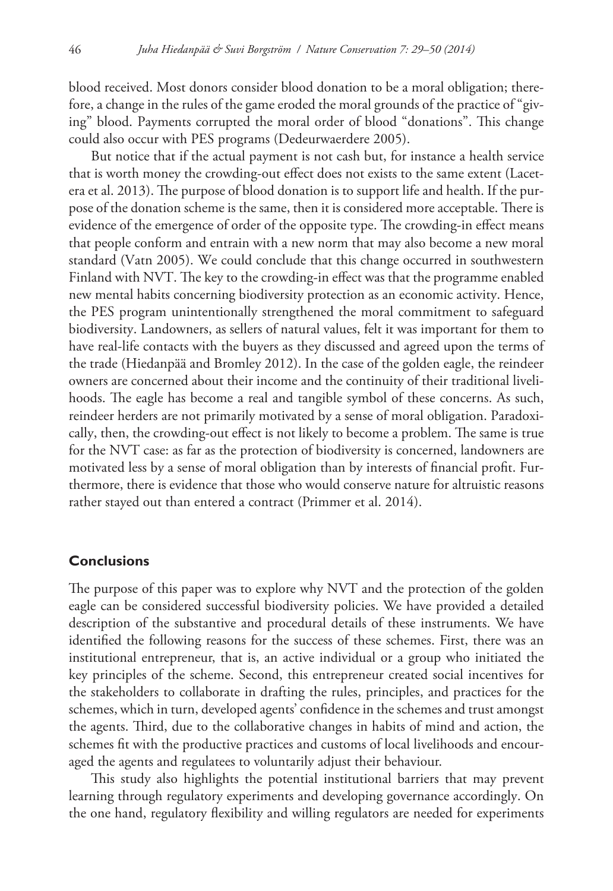blood received. Most donors consider blood donation to be a moral obligation; therefore, a change in the rules of the game eroded the moral grounds of the practice of "giving" blood. Payments corrupted the moral order of blood "donations". This change could also occur with PES programs (Dedeurwaerdere 2005).

But notice that if the actual payment is not cash but, for instance a health service that is worth money the crowding-out effect does not exists to the same extent (Lacetera et al. 2013). The purpose of blood donation is to support life and health. If the purpose of the donation scheme is the same, then it is considered more acceptable. There is evidence of the emergence of order of the opposite type. The crowding-in effect means that people conform and entrain with a new norm that may also become a new moral standard (Vatn 2005). We could conclude that this change occurred in southwestern Finland with NVT. The key to the crowding-in effect was that the programme enabled new mental habits concerning biodiversity protection as an economic activity. Hence, the PES program unintentionally strengthened the moral commitment to safeguard biodiversity. Landowners, as sellers of natural values, felt it was important for them to have real-life contacts with the buyers as they discussed and agreed upon the terms of the trade (Hiedanpää and Bromley 2012). In the case of the golden eagle, the reindeer owners are concerned about their income and the continuity of their traditional livelihoods. The eagle has become a real and tangible symbol of these concerns. As such, reindeer herders are not primarily motivated by a sense of moral obligation. Paradoxically, then, the crowding-out effect is not likely to become a problem. The same is true for the NVT case: as far as the protection of biodiversity is concerned, landowners are motivated less by a sense of moral obligation than by interests of financial profit. Furthermore, there is evidence that those who would conserve nature for altruistic reasons rather stayed out than entered a contract (Primmer et al. 2014).

# **Conclusions**

The purpose of this paper was to explore why NVT and the protection of the golden eagle can be considered successful biodiversity policies. We have provided a detailed description of the substantive and procedural details of these instruments. We have identified the following reasons for the success of these schemes. First, there was an institutional entrepreneur, that is, an active individual or a group who initiated the key principles of the scheme. Second, this entrepreneur created social incentives for the stakeholders to collaborate in drafting the rules, principles, and practices for the schemes, which in turn, developed agents' confidence in the schemes and trust amongst the agents. Third, due to the collaborative changes in habits of mind and action, the schemes fit with the productive practices and customs of local livelihoods and encouraged the agents and regulatees to voluntarily adjust their behaviour.

This study also highlights the potential institutional barriers that may prevent learning through regulatory experiments and developing governance accordingly. On the one hand, regulatory flexibility and willing regulators are needed for experiments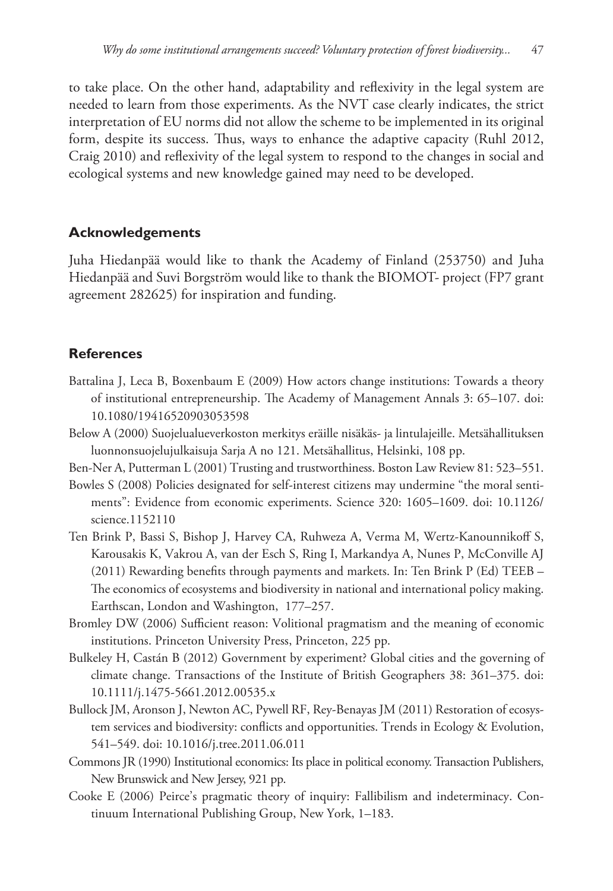to take place. On the other hand, adaptability and reflexivity in the legal system are needed to learn from those experiments. As the NVT case clearly indicates, the strict interpretation of EU norms did not allow the scheme to be implemented in its original form, despite its success. Thus, ways to enhance the adaptive capacity (Ruhl 2012, Craig 2010) and reflexivity of the legal system to respond to the changes in social and ecological systems and new knowledge gained may need to be developed.

# **Acknowledgements**

Juha Hiedanpää would like to thank the Academy of Finland (253750) and Juha Hiedanpää and Suvi Borgström would like to thank the BIOMOT- project (FP7 grant agreement 282625) for inspiration and funding.

# **References**

- Battalina J, Leca B, Boxenbaum E (2009) How actors change institutions: Towards a theory of institutional entrepreneurship. The Academy of Management Annals 3: 65–107. [doi:](http://dx.doi.org/10.1080/19416520903053598) [10.1080/19416520903053598](http://dx.doi.org/10.1080/19416520903053598)
- Below A (2000) Suojelualueverkoston merkitys eräille nisäkäs- ja lintulajeille. Metsähallituksen luonnonsuojelujulkaisuja Sarja A no 121. Metsähallitus, Helsinki, 108 pp.
- Ben-Ner A, Putterman L (2001) Trusting and trustworthiness. Boston Law Review 81: 523–551.
- Bowles S (2008) Policies designated for self-interest citizens may undermine "the moral sentiments": Evidence from economic experiments. Science 320: 1605–1609. [doi: 10.1126/](http://dx.doi.org/10.1126/science.1152110) [science.1152110](http://dx.doi.org/10.1126/science.1152110)
- Ten Brink P, Bassi S, Bishop J, Harvey CA, Ruhweza A, Verma M, Wertz-Kanounnikoff S, Karousakis K, Vakrou A, van der Esch S, Ring I, Markandya A, Nunes P, McConville AJ (2011) Rewarding benefits through payments and markets. In: Ten Brink P (Ed) TEEB – The economics of ecosystems and biodiversity in national and international policy making. Earthscan, London and Washington, 177–257.
- Bromley DW (2006) Sufficient reason: Volitional pragmatism and the meaning of economic institutions. Princeton University Press, Princeton, 225 pp.
- Bulkeley H, Castán B (2012) Government by experiment? Global cities and the governing of climate change. Transactions of the Institute of British Geographers 38: 361–375. [doi:](http://dx.doi.org/10.1111/j.1475-5661.2012.00535.x) [10.1111/j.1475-5661.2012.00535.x](http://dx.doi.org/10.1111/j.1475-5661.2012.00535.x)
- Bullock JM, Aronson J, Newton AC, Pywell RF, Rey-Benayas JM (2011) Restoration of ecosystem services and biodiversity: conflicts and opportunities. Trends in Ecology & Evolution, 541–549. [doi: 10.1016/j.tree.2011.06.011](http://dx.doi.org/10.1016/j.tree.2011.06.011)
- Commons JR (1990) Institutional economics: Its place in political economy. Transaction Publishers, New Brunswick and New Jersey, 921 pp.
- Cooke E (2006) Peirce's pragmatic theory of inquiry: Fallibilism and indeterminacy. Continuum International Publishing Group, New York, 1–183.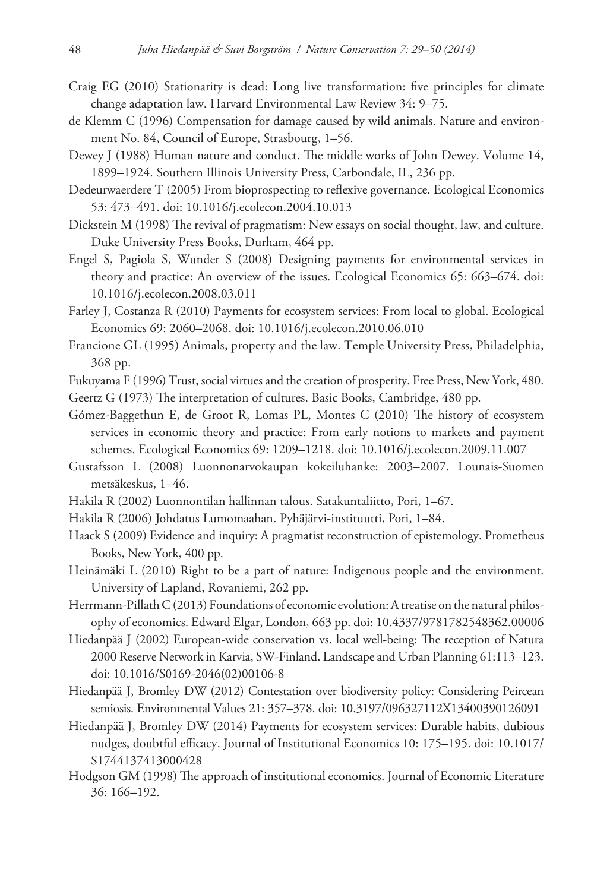- Craig EG (2010) Stationarity is dead: Long live transformation: five principles for climate change adaptation law. Harvard Environmental Law Review 34: 9–75.
- de Klemm C (1996) Compensation for damage caused by wild animals. Nature and environment No. 84, Council of Europe, Strasbourg, 1–56.
- Dewey J (1988) Human nature and conduct. The middle works of John Dewey. Volume 14, 1899–1924. Southern Illinois University Press, Carbondale, IL, 236 pp.
- Dedeurwaerdere T (2005) From bioprospecting to reflexive governance. Ecological Economics 53: 473–491. [doi: 10.1016/j.ecolecon.2004.10.013](http://dx.doi.org/10.1016/j.ecolecon.2004.10.013)
- Dickstein M (1998) The revival of pragmatism: New essays on social thought, law, and culture. Duke University Press Books, Durham, 464 pp.
- Engel S, Pagiola S, Wunder S (2008) Designing payments for environmental services in theory and practice: An overview of the issues. Ecological Economics 65: 663–674. [doi:](http://dx.doi.org/10.1016/j.ecolecon.2008.03.011) [10.1016/j.ecolecon.2008.03.011](http://dx.doi.org/10.1016/j.ecolecon.2008.03.011)
- Farley J, Costanza R (2010) Payments for ecosystem services: From local to global. Ecological Economics 69: 2060–2068. [doi: 10.1016/j.ecolecon.2010.06.010](http://dx.doi.org/10.1016/j.ecolecon.2010.06.010)
- Francione GL (1995) Animals, property and the law. Temple University Press, Philadelphia, 368 pp.
- Fukuyama F (1996) Trust, social virtues and the creation of prosperity. Free Press, New York, 480.
- Geertz G (1973) The interpretation of cultures. Basic Books, Cambridge, 480 pp.
- Gómez-Baggethun E, de Groot R, Lomas PL, Montes C (2010) The history of ecosystem services in economic theory and practice: From early notions to markets and payment schemes. Ecological Economics 69: 1209–1218. [doi: 10.1016/j.ecolecon.2009.11.007](http://dx.doi.org/10.1016/j.ecolecon.2009.11.007)
- Gustafsson L (2008) Luonnonarvokaupan kokeiluhanke: 2003–2007. Lounais-Suomen metsäkeskus, 1–46.
- Hakila R (2002) Luonnontilan hallinnan talous. Satakuntaliitto, Pori, 1–67.
- Hakila R (2006) Johdatus Lumomaahan. Pyhäjärvi-instituutti, Pori, 1–84.
- Haack S (2009) Evidence and inquiry: A pragmatist reconstruction of epistemology. Prometheus Books, New York, 400 pp.
- Heinämäki L (2010) Right to be a part of nature: Indigenous people and the environment. University of Lapland, Rovaniemi, 262 pp.
- Herrmann-Pillath C (2013) Foundations of economic evolution: A treatise on the natural philosophy of economics. Edward Elgar, London, 663 pp. [doi: 10.4337/9781782548362.00006](http://dx.doi.org/10.4337/9781782548362.00006)
- Hiedanpää J (2002) European-wide conservation vs. local well-being: The reception of Natura 2000 Reserve Network in Karvia, SW-Finland. Landscape and Urban Planning 61:113–123. [doi: 10.1016/S0169-2046\(02\)00106-8](http://dx.doi.org/10.1016/S0169-2046(02)00106-8)
- Hiedanpää J, Bromley DW (2012) Contestation over biodiversity policy: Considering Peircean semiosis. Environmental Values 21: 357–378. [doi: 10.3197/096327112X13400390126091](http://dx.doi.org/10.3197/096327112X13400390126091)
- Hiedanpää J, Bromley DW (2014) Payments for ecosystem services: Durable habits, dubious nudges, doubtful efficacy. Journal of Institutional Economics 10: 175–195. [doi: 10.1017/](http://dx.doi.org/10.1017/S1744137413000428) [S1744137413000428](http://dx.doi.org/10.1017/S1744137413000428)
- Hodgson GM (1998) The approach of institutional economics. Journal of Economic Literature 36: 166–192.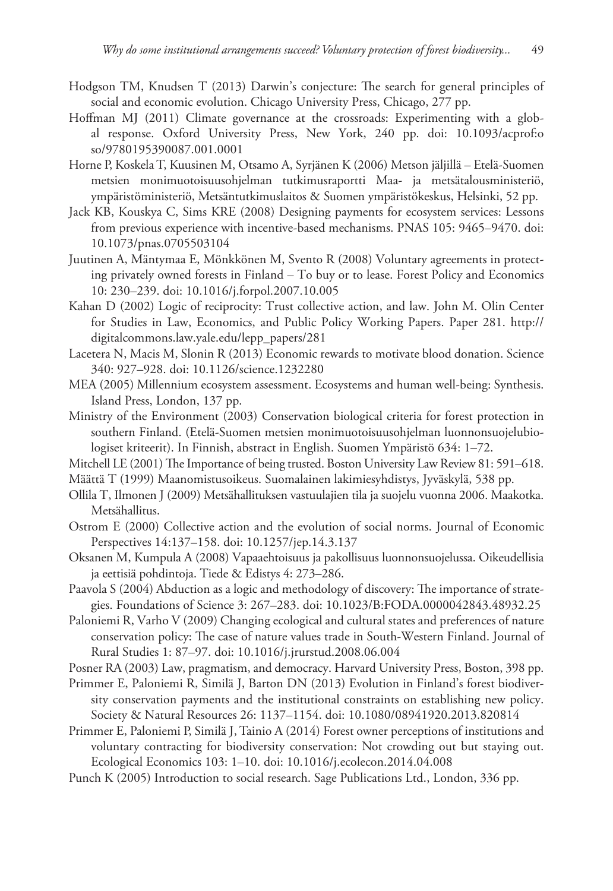- Hodgson TM, Knudsen T (2013) Darwin's conjecture: The search for general principles of social and economic evolution. Chicago University Press, Chicago, 277 pp.
- Hoffman MJ (2011) Climate governance at the crossroads: Experimenting with a global response. Oxford University Press, New York, 240 pp. [doi: 10.1093/acprof:o](http://dx.doi.org/10.1093/acprof:oso/9780195390087.001.0001) [so/9780195390087.001.0001](http://dx.doi.org/10.1093/acprof:oso/9780195390087.001.0001)
- Horne P, Koskela T, Kuusinen M, Otsamo A, Syrjänen K (2006) Metson jäljillä Etelä-Suomen metsien monimuotoisuusohjelman tutkimusraportti Maa- ja metsätalousministeriö, ympäristöministeriö, Metsäntutkimuslaitos & Suomen ympäristökeskus, Helsinki, 52 pp.
- Jack KB, Kouskya C, Sims KRE (2008) Designing payments for ecosystem services: Lessons from previous experience with incentive-based mechanisms. PNAS 105: 9465–9470. [doi:](http://dx.doi.org/10.1073/pnas.0705503104) [10.1073/pnas.0705503104](http://dx.doi.org/10.1073/pnas.0705503104)
- Juutinen A, Mäntymaa E, Mönkkönen M, Svento R (2008) Voluntary agreements in protecting privately owned forests in Finland – To buy or to lease. Forest Policy and Economics 10: 230–239. [doi: 10.1016/j.forpol.2007.10.005](http://dx.doi.org/10.1016/j.forpol.2007.10.005)
- Kahan D (2002) Logic of reciprocity: Trust collective action, and law. John M. Olin Center for Studies in Law, Economics, and Public Policy Working Papers. Paper 281. [http://](http://digitalcommons.law.yale.edu/lepp_papers/281) [digitalcommons.law.yale.edu/lepp\\_papers/281](http://digitalcommons.law.yale.edu/lepp_papers/281)
- Lacetera N, Macis M, Slonin R (2013) Economic rewards to motivate blood donation. Science 340: 927–928. [doi: 10.1126/science.1232280](http://dx.doi.org/10.1126/science.1232280)
- MEA (2005) Millennium ecosystem assessment. Ecosystems and human well-being: Synthesis. Island Press, London, 137 pp.
- Ministry of the Environment (2003) Conservation biological criteria for forest protection in southern Finland. (Etelä-Suomen metsien monimuotoisuusohjelman luonnonsuojelubiologiset kriteerit). In Finnish, abstract in English. Suomen Ympäristö 634: 1–72.
- Mitchell LE (2001) The Importance of being trusted. Boston University Law Review 81: 591–618.
- Määttä T (1999) Maanomistusoikeus. Suomalainen lakimiesyhdistys, Jyväskylä, 538 pp.
- Ollila T, Ilmonen J (2009) Metsähallituksen vastuulajien tila ja suojelu vuonna 2006. Maakotka. Metsähallitus.
- Ostrom E (2000) Collective action and the evolution of social norms. Journal of Economic Perspectives 14:137–158. [doi: 10.1257/jep.14.3.137](http://dx.doi.org/10.1257/jep.14.3.137)
- Oksanen M, Kumpula A (2008) Vapaaehtoisuus ja pakollisuus luonnonsuojelussa. Oikeudellisia ja eettisiä pohdintoja. Tiede & Edistys 4: 273–286.
- Paavola S (2004) Abduction as a logic and methodology of discovery: The importance of strategies. Foundations of Science 3: 267–283. [doi: 10.1023/B:FODA.0000042843.48932.25](http://dx.doi.org/10.1023/B:FODA.0000042843.48932.25)
- Paloniemi R, Varho V (2009) Changing ecological and cultural states and preferences of nature conservation policy: The case of nature values trade in South-Western Finland. Journal of Rural Studies 1: 87–97. [doi: 10.1016/j.jrurstud.2008.06.004](http://dx.doi.org/10.1016/j.jrurstud.2008.06.004)
- Posner RA (2003) Law, pragmatism, and democracy. Harvard University Press, Boston, 398 pp.
- Primmer E, Paloniemi R, Similä J, Barton DN (2013) Evolution in Finland's forest biodiversity conservation payments and the institutional constraints on establishing new policy. Society & Natural Resources 26: 1137–1154. [doi: 10.1080/08941920.2013.820814](http://dx.doi.org/10.1080/08941920.2013.820814)
- Primmer E, Paloniemi P, Similä J, Tainio A (2014) Forest owner perceptions of institutions and voluntary contracting for biodiversity conservation: Not crowding out but staying out. Ecological Economics 103: 1–10. [doi: 10.1016/j.ecolecon.2014.04.008](http://dx.doi.org/10.1016/j.ecolecon.2014.04.008)
- Punch K (2005) Introduction to social research. Sage Publications Ltd., London, 336 pp.